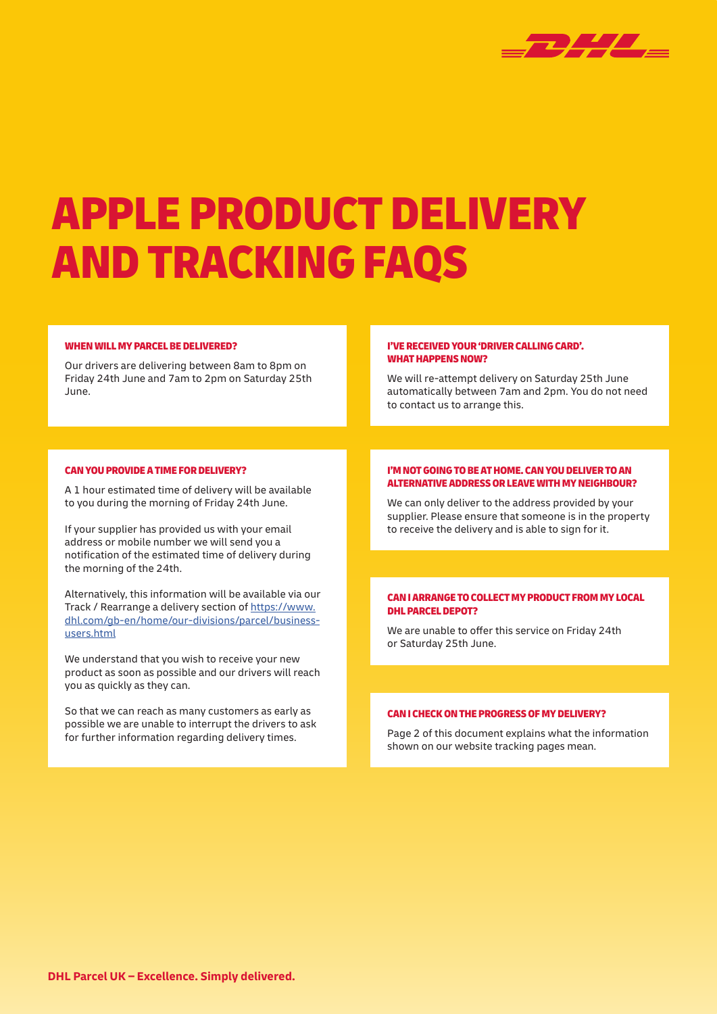

# APPLE PRODUCT DELIVERY AND TRACKING FAQS

#### WHEN WILL MY PARCEL BE DELIVERED?

Our drivers are delivering between 8am to 8pm on Friday 24th June and 7am to 2pm on Saturday 25th June.

#### I'VE RECEIVED YOUR 'DRIVER CALLING CARD'. WHAT HAPPENS NOW?

We will re-attempt delivery on Saturday 25th June automatically between 7am and 2pm. You do not need to contact us to arrange this.

## CAN YOU PROVIDE A TIME FOR DELIVERY?

A 1 hour estimated time of delivery will be available to you during the morning of Friday 24th June.

If your supplier has provided us with your email address or mobile number we will send you a notification of the estimated time of delivery during the morning of the 24th.

Alternatively, this information will be available via our Track / Rearrange a delivery section of https://www. dhl.com/gb-en/home/our-divisions/parcel/businessusers.html

We understand that you wish to receive your new product as soon as possible and our drivers will reach you as quickly as they can.

So that we can reach as many customers as early as possible we are unable to interrupt the drivers to ask for further information regarding delivery times.

#### I'M NOT GOING TO BE AT HOME. CAN YOU DELIVER TO AN ALTERNATIVE ADDRESS OR LEAVE WITH MY NEIGHBOUR?

We can only deliver to the address provided by your supplier. Please ensure that someone is in the property to receive the delivery and is able to sign for it.

#### CAN I ARRANGE TO COLLECT MY PRODUCT FROM MY LOCAL DHL PARCEL DEPOT?

We are unable to offer this service on Friday 24th or Saturday 25th June.

#### CAN I CHECK ON THE PROGRESS OF MY DELIVERY?

Page 2 of this document explains what the information shown on our website tracking pages mean.